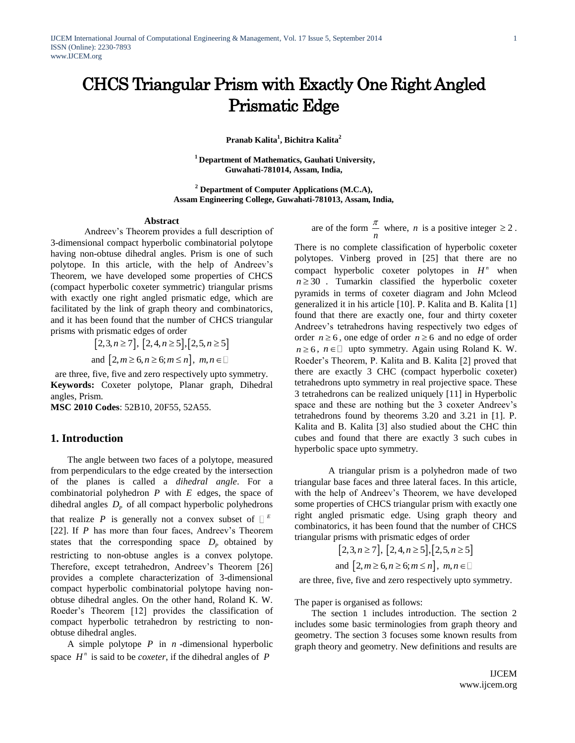# CHCS Triangular Prism with Exactly One Right Angled Prismatic Edge

**Pranab Kalita<sup>1</sup> , Bichitra Kalita<sup>2</sup>**

**<sup>1</sup> Department of Mathematics, Gauhati University, Guwahati-781014, Assam, India,** 

**<sup>2</sup> Department of Computer Applications (M.C.A), Assam Engineering College, Guwahati-781013, Assam, India,** 

#### **Abstract**

Andreev's Theorem provides a full description of 3-dimensional compact hyperbolic combinatorial polytope having non-obtuse dihedral angles. Prism is one of such polytope. In this article, with the help of Andreev's Theorem, we have developed some properties of CHCS (compact hyperbolic coxeter symmetric) triangular prisms with exactly one right angled prismatic edge, which are facilitated by the link of graph theory and combinatorics, and it has been found that the number of CHCS triangular prisms with prismatic edges of order

> $[2,3, n \ge 7], [2,4, n \ge 5], [2,5, n \ge 5]$ and  $[2, m \geq 6, n \geq 6; m \leq n]$ ,  $m, n \in$

are three, five, five and zero respectively upto symmetry. **Keywords:** Coxeter polytope, Planar graph, Dihedral angles, Prism.

**MSC 2010 Codes**: 52B10, 20F55, 52A55.

## **1. Introduction**

The angle between two faces of a polytope, measured from perpendiculars to the edge created by the intersection of the planes is called a *dihedral angle*. For a combinatorial polyhedron  $P$  with  $E$  edges, the space of dihedral angles  $D_p$  of all compact hyperbolic polyhedrons that realize P is generally not a convex subset of  $\Box$ <sup>E</sup> [22]. If *P* has more than four faces, Andreev's Theorem states that the corresponding space  $D_p$  obtained by restricting to non-obtuse angles is a convex polytope. Therefore, except tetrahedron, Andreev's Theorem [26] provides a complete characterization of 3-dimensional compact hyperbolic combinatorial polytope having nonobtuse dihedral angles. On the other hand, Roland K. W. Roeder's Theorem [12] provides the classification of compact hyperbolic tetrahedron by restricting to nonobtuse dihedral angles.

A simple polytope  $P$  in  $n$  -dimensional hyperbolic space  $H^n$  is said to be *coxeter*, if the dihedral angles of  $P$ 

are of the form  $\frac{\pi}{n}$  $\frac{\pi}{\pi}$  where, *n* is a positive integer  $\geq 2$ .

There is no complete classification of hyperbolic coxeter polytopes. Vinberg proved in [25] that there are no compact hyperbolic coxeter polytopes in  $H<sup>n</sup>$  when  $n \geq 30$ . Tumarkin classified the hyperbolic coxeter pyramids in terms of coxeter diagram and John Mcleod generalized it in his article [10]. P. Kalita and B. Kalita [1] found that there are exactly one, four and thirty coxeter Andreev's tetrahedrons having respectively two edges of order  $n \ge 6$ , one edge of order  $n \ge 6$  and no edge of order  $n \geq 6$ ,  $n \in \Box$  upto symmetry. Again using Roland K. W. Roeder's Theorem, P. Kalita and B. Kalita [2] proved that there are exactly 3 CHC (compact hyperbolic coxeter) tetrahedrons upto symmetry in real projective space. These 3 tetrahedrons can be realized uniquely [11] in Hyperbolic space and these are nothing but the 3 coxeter Andreev's tetrahedrons found by theorems 3.20 and 3.21 in [1]. P. Kalita and B. Kalita [3] also studied about the CHC thin cubes and found that there are exactly 3 such cubes in hyperbolic space upto symmetry.

A triangular prism is a polyhedron made of two triangular base faces and three lateral faces. In this article, with the help of Andreev's Theorem, we have developed some properties of CHCS triangular prism with exactly one right angled prismatic edge. Using graph theory and combinatorics, it has been found that the number of CHCS triangular prisms with prismatic edges of order

$$
[2,3, n \ge 7], [2, 4, n \ge 5], [2, 5, n \ge 5]
$$
  
and  $[2, m \ge 6, n \ge 6; m \le n], m, n \in \square$ 

are three, five, five and zero respectively upto symmetry.

The paper is organised as follows:

The section 1 includes introduction. The section 2 includes some basic terminologies from graph theory and geometry. The section 3 focuses some known results from graph theory and geometry. New definitions and results are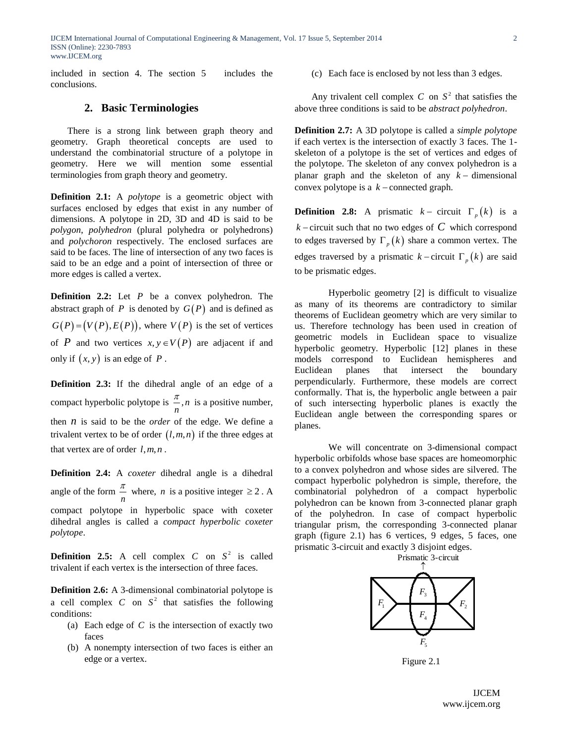IJCEM International Journal of Computational Engineering & Management, Vol. 17 Issue 5, September 2014 ISSN (Online): 2230-7893 www.IJCEM.org

included in section 4. The section 5 includes the conclusions.

## **2. Basic Terminologies**

There is a strong link between graph theory and geometry. Graph theoretical concepts are used to understand the combinatorial structure of a polytope in geometry. Here we will mention some essential terminologies from graph theory and geometry.

**Definition 2.1:** A *polytope* is a geometric object with surfaces enclosed by edges that exist in any number of dimensions. A polytope in 2D, 3D and 4D is said to be *polygon*, *polyhedron* (plural polyhedra or polyhedrons) and *polychoron* respectively. The enclosed surfaces are said to be faces. The line of intersection of any two faces is said to be an edge and a point of intersection of three or more edges is called a vertex.

**Definition 2.2:** Let *P* be a convex polyhedron. The abstract graph of  $P$  is denoted by  $G(P)$  and is defined as  $G(P) = (V(P), E(P))$ , where  $V(P)$  is the set of vertices of P and two vertices  $x, y \in V(P)$  are adjacent if and only if  $(x, y)$  is an edge of  $P$ .

**Definition 2.3:** If the dihedral angle of an edge of a compact hyperbolic polytope is  $\frac{n}{n}$ , *n*  $\frac{\pi}{n}$ , *n* is a positive number, then *n* is said to be the *order* of the edge. We define a trivalent vertex to be of order  $(l,m,n)$  if the three edges at that vertex are of order  $l, m, n$ .

**Definition 2.4:** A *coxeter* dihedral angle is a dihedral angle of the form  $\frac{\pi}{n}$  $\frac{\pi}{2}$  where, *n* is a positive integer  $\geq 2$ . A compact polytope in hyperbolic space with coxeter dihedral angles is called a *compact hyperbolic coxeter polytope*.

**Definition 2.5:** A cell complex C on  $S^2$  is called trivalent if each vertex is the intersection of three faces.

**Definition 2.6:** A 3-dimensional combinatorial polytope is a cell complex  $C$  on  $S^2$  that satisfies the following conditions:

- (a) Each edge of  $C$  is the intersection of exactly two faces
- (b) A nonempty intersection of two faces is either an edge or a vertex.

(c) Each face is enclosed by not less than 3 edges.

Any trivalent cell complex  $C$  on  $S^2$  that satisfies the above three conditions is said to be *abstract polyhedron*.

**Definition 2.7:** A 3D polytope is called a *simple polytope* if each vertex is the intersection of exactly 3 faces. The 1 skeleton of a polytope is the set of vertices and edges of the polytope. The skeleton of any convex polyhedron is a planar graph and the skeleton of any  $k -$  dimensional convex polytope is a  $k$  – connected graph.

**Definition 2.8:** A prismatic  $k -$  circuit  $\Gamma_p(k)$  is a  $k$  – circuit such that no two edges of  $C$  which correspond to edges traversed by  $\Gamma_p(k)$  share a common vertex. The edges traversed by a prismatic  $k$  – circuit  $\Gamma_p(k)$  are said to be prismatic edges.

Hyperbolic geometry [2] is difficult to visualize as many of its theorems are contradictory to similar theorems of Euclidean geometry which are very similar to us. Therefore technology has been used in creation of geometric models in Euclidean space to visualize hyperbolic geometry. Hyperbolic [12] planes in these models correspond to Euclidean hemispheres and Euclidean planes that intersect the boundary perpendicularly. Furthermore, these models are correct conformally. That is, the hyperbolic angle between a pair of such intersecting hyperbolic planes is exactly the Euclidean angle between the corresponding spares or planes.

We will concentrate on 3-dimensional compact hyperbolic orbifolds whose base spaces are homeomorphic to a convex polyhedron and whose sides are silvered. The compact hyperbolic polyhedron is simple, therefore, the combinatorial polyhedron of a compact hyperbolic polyhedron can be known from 3-connected planar graph of the polyhedron. In case of compact hyperbolic triangular prism, the corresponding 3-connected planar graph (figure 2.1) has 6 vertices, 9 edges, 5 faces, one prismatic 3-circuit and exactly 3 disjoint edges.



Figure 2.1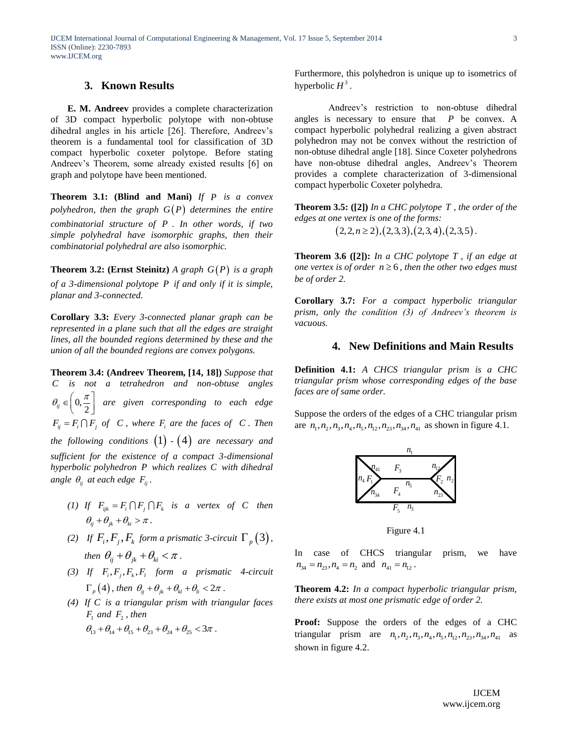### **3. Known Results**

**E. M. Andreev** provides a complete characterization of 3D compact hyperbolic polytope with non-obtuse dihedral angles in his article [26]. Therefore, Andreev's theorem is a fundamental tool for classification of 3D compact hyperbolic coxeter polytope. Before stating Andreev's Theorem, some already existed results [6] on graph and polytope have been mentioned.

**Theorem 3.1: (Blind and Mani)** *If P is a convex*  polyhedron, then the graph  $G(P)$  determines the entire *combinatorial structure of P* . *In other words, if two simple polyhedral have isomorphic graphs, then their combinatorial polyhedral are also isomorphic.*

**Theorem 3.2: (Ernst Steinitz)** A graph  $G(P)$  is a graph *of a 3-dimensional polytope P if and only if it is simple, planar and 3-connected.*

**Corollary 3.3:** *Every 3-connected planar graph can be represented in a plane such that all the edges are straight lines, all the bounded regions determined by these and the union of all the bounded regions are convex polygons.*

**Theorem 3.4: (Andreev Theorem, [14, 18])** *Suppose that C is not a tetrahedron and non-obtuse angles*   $\theta_{ij} \in \left(0, \frac{\pi}{2}\right)$  $\theta_{ij} \in \left(0, \frac{\pi}{2}\right)$ *are given corresponding to each edge*   $F_{ij} = F_i \cap F_j$  of *C*, where  $F_i$  are the faces of *C*. Then the following conditions  $(1)$  -  $(4)$  are necessary and *sufficient for the existence of a compact 3-dimensional hyperbolic polyhedron P which realizes C with dihedral* angle  $\theta_{ij}$  at each edge  $F_{ij}$ .

- (1) If  $F_{ijk} = F_i \cap F_j \cap F_k$  is a vertex of C then  $\theta_{ii} + \theta_{ii} + \theta_{ii} > \pi$ .
- (2) If  $F_i$ ,  $F_j$ ,  $F_k$  form a prismatic 3-circuit  $\Gamma_p(3)$ , *then*  $\theta_{ij} + \theta_{jk} + \theta_{ki} < \pi$ .
- (3) If  $F_i$ ,  $F_j$ ,  $F_k$ ,  $F_l$  form a prismatic 4-circuit  $\Gamma_p$  (4), then  $\theta_{ij} + \theta_{jk} + \theta_{kl} + \theta_{li} < 2\pi$ .
- *(4) If C is a triangular prism with triangular faces*   $F_1$  and  $F_2$ , then  $\theta_{13} + \theta_{14} + \theta_{15} + \theta_{23} + \theta_{24} + \theta_{25} < 3\pi$ .

Furthermore, this polyhedron is unique up to isometrics of hyperbolic  $H^3$ .

Andreev's restriction to non-obtuse dihedral angles is necessary to ensure that  $P$  be convex. A compact hyperbolic polyhedral realizing a given abstract polyhedron may not be convex without the restriction of non-obtuse dihedral angle [18]. Since Coxeter polyhedrons have non-obtuse dihedral angles, Andreev's Theorem provides a complete characterization of 3-dimensional compact hyperbolic Coxeter polyhedra.

**Theorem 3.5: ([2])** *In a CHC polytope T , the order of the edges at one vertex is one of the forms:*<br> $(2,2,n \ge 2), (2,3,3), (2,3,4), (2,3,5)$ .

$$
(2,2,n \ge 2), (2,3,3), (2,3,4), (2,3,5)
$$

**Theorem 3.6 ([2]):** In a CHC polytope  $T$ , if an edge at *one vertex is of order*  $n \geq 6$ , then the other two edges must *be of order 2.*

**Corollary 3.7:** *For a compact hyperbolic triangular prism, only the condition (3) of Andreev's theorem is vacuous.*

# **4. New Definitions and Main Results**

**Definition 4.1:** *A CHCS triangular prism is a CHC triangular prism whose corresponding edges of the base faces are of same order.* 

Suppose the orders of the edges of a CHC triangular prism suppose the orders of the edges of a CTC triangular prisi-<br>are  $n_1$ ,  $n_2$ ,  $n_3$ ,  $n_4$ ,  $n_5$ ,  $n_{12}$ ,  $n_{23}$ ,  $n_{34}$ ,  $n_{41}$  as shown in figure 4.1.



Figure 4.1

In case of CHCS triangular prism, we have  $n_{34} = n_{23}, n_4 = n_2$  and  $n_{41} = n_{12}$ .

**Theorem 4.2:** *In a compact hyperbolic triangular prism, there exists at most one prismatic edge of order 2.*

**Proof:** Suppose the orders of the edges of a CHC triangular prism are  $n_1$ ,  $n_2$ ,  $n_3$ ,  $n_4$ ,  $n_5$ ,  $n_{12}$ ,  $n_{23}$ ,  $n_{34}$ ,  $n_{41}$  as shown in figure 4.2.

3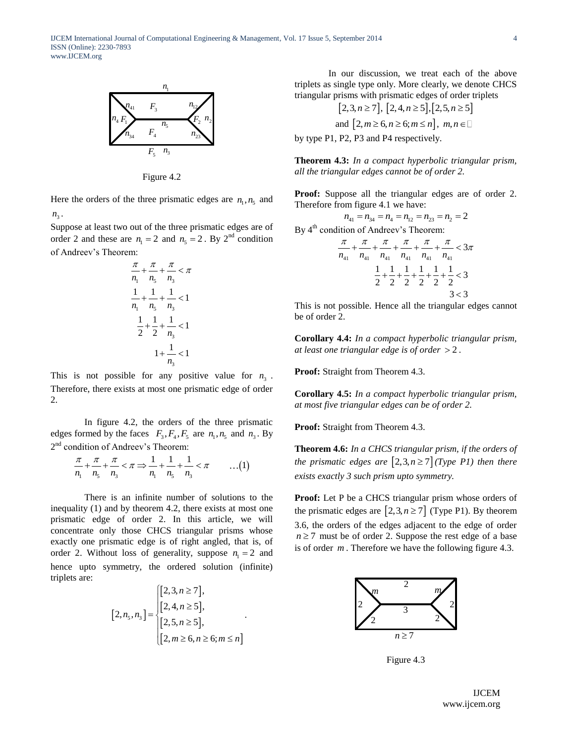

Figure 4.2

Here the orders of the three prismatic edges are  $n_1, n_5$  and  $n_{\rm s}$ .

Suppose at least two out of the three prismatic edges are of order 2 and these are  $n_1 = 2$  and  $n_5 = 2$ . By 2<sup>nd</sup> condition of Andreev's Theorem:

$$
\frac{\pi}{n_1} + \frac{\pi}{n_5} + \frac{\pi}{n_3} < \pi
$$
\n
$$
\frac{1}{n_1} + \frac{1}{n_5} + \frac{1}{n_3} < 1
$$
\n
$$
\frac{1}{2} + \frac{1}{2} + \frac{1}{n_3} < 1
$$
\n
$$
1 + \frac{1}{n_3} < 1
$$

This is not possible for any positive value for  $n_3$ . Therefore, there exists at most one prismatic edge of order 2.

In figure 4.2, the orders of the three prismatic edges formed by the faces  $F_3, F_4, F_5$  are  $n_1, n_5$  and  $n_3$ . By

$$
2nd condition of Andrew's Theorem:\n\frac{\pi}{n_1} + \frac{\pi}{n_5} + \frac{\pi}{n_3} < \pi \Rightarrow \frac{1}{n_1} + \frac{1}{n_5} + \frac{1}{n_3} < \pi
$$
\n...(1)

There is an infinite number of solutions to the inequality (1) and by theorem 4.2, there exists at most one prismatic edge of order 2. In this article, we will concentrate only those CHCS triangular prisms whose exactly one prismatic edge is of right angled, that is, of order 2. Without loss of generality, suppose  $n_1 = 2$  and hence upto symmetry, the ordered solution (infinite) triplets are:

$$
[2, n_{5}, n_{3}] = \begin{cases} [2, 3, n \ge 7], \\ [2, 4, n \ge 5], \\ [2, 5, n \ge 5], \\ [2, m \ge 6, n \ge 6; m \le n] \end{cases}.
$$

.

In our discussion, we treat each of the above triplets as single type only. More clearly, we denote CHCS triangular prisms with prismatic edges of order triplets

$$
[2,3,n \ge 7], [2,4,n \ge 5], [2,5,n \ge 5]
$$
  
and  $[2,m \ge 6, n \ge 6; m \le n], m, n \in \square$ 

by type P1, P2, P3 and P4 respectively.

**Theorem 4.3:** *In a compact hyperbolic triangular prism, all the triangular edges cannot be of order 2.*

**Proof:** Suppose all the triangular edges are of order 2. Therefore from figure 4.1 we have:<br> $n_{41} = n_{34} = n_{4} = n_{12} = n_{23} = n_{2} = 2$ 

$$
n_{41} = n_{34} = n_4 = n_{12} = n_{23} = n_2 = 2
$$
  
By 4<sup>th</sup> condition of Andreev's Theorem:  

$$
\frac{\pi}{n_{41}} + \frac{\pi}{n_{41}} + \frac{\pi}{n_{41}} + \frac{\pi}{n_{41}} + \frac{\pi}{n_{41}} + \frac{\pi}{n_{41}} < 3\pi
$$

$$
\frac{1}{2} + \frac{1}{2} + \frac{1}{2} + \frac{1}{2} + \frac{1}{2} + \frac{1}{2} < 3
$$
 $3 < 3$ 

This is not possible. Hence all the triangular edges cannot be of order 2.

**Corollary 4.4:** *In a compact hyperbolic triangular prism, at least one triangular edge is of order*  2 *.*

**Proof:** Straight from Theorem 4.3.

**Corollary 4.5:** *In a compact hyperbolic triangular prism, at most five triangular edges can be of order 2.*

**Proof:** Straight from Theorem 4.3.

**Theorem 4.6:** *In a CHCS triangular prism, if the orders of the prismatic edges are*  $\left[2, 3, n \geq 7\right]$  *(Type P1) then there exists exactly 3 such prism upto symmetry.*

**Proof:** Let P be a CHCS triangular prism whose orders of the prismatic edges are  $[2,3, n \ge 7]$  (Type P1). By theorem 3.6, the orders of the edges adjacent to the edge of order  $n \ge 7$  must be of order 2. Suppose the rest edge of a base is of order *m* . Therefore we have the following figure 4.3.



Figure 4.3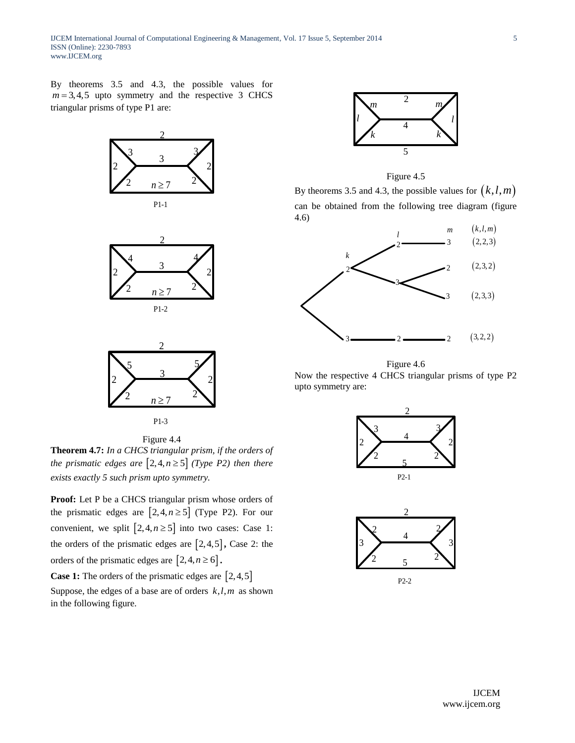IJCEM International Journal of Computational Engineering & Management, Vol. 17 Issue 5, September 2014 ISSN (Online): 2230-7893 www.IJCEM.org

By theorems 3.5 and 4.3, the possible values for  $m = 3, 4, 5$  upto symmetry and the respective 3 CHCS triangular prisms of type P1 are:



P1-3

Figure 4.4

**Theorem 4.7:** *In a CHCS triangular prism, if the orders of the prismatic edges are*  $\lceil 2, 4, n \geq 5 \rceil$  *(Type P2) then there exists exactly 5 such prism upto symmetry.*

**Proof:** Let P be a CHCS triangular prism whose orders of the prismatic edges are  $[2, 4, n \ge 5]$  (Type P2). For our convenient, we split  $[2, 4, n \ge 5]$  into two cases: Case 1: the orders of the prismatic edges are  $\left[2, 4, 5\right]$ , Case 2: the orders of the prismatic edges are  $\left[2, 4, n \ge 6\right]$ .

**Case 1:** The orders of the prismatic edges are  $\left[2, 4, 5\right]$ Suppose, the edges of a base are of orders  $k, l, m$  as shown

in the following figure.



Figure 4.5

By theorems 3.5 and 4.3, the possible values for  $(k, l, m)$ can be obtained from the following tree diagram (figure 4.6)



Figure 4.6

Now the respective 4 CHCS triangular prisms of type P2 upto symmetry are:



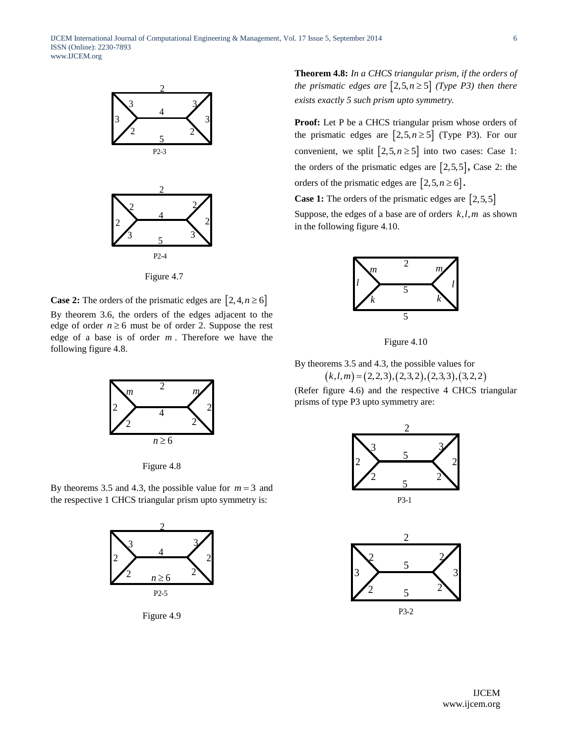

Figure 4.7

**Case 2:** The orders of the prismatic edges are  $[2, 4, n \ge 6]$ By theorem 3.6, the orders of the edges adjacent to the edge of order  $n \ge 6$  must be of order 2. Suppose the rest edge of a base is of order *m* . Therefore we have the following figure 4.8.



Figure 4.8

By theorems 3.5 and 4.3, the possible value for  $m = 3$  and the respective 1 CHCS triangular prism upto symmetry is:



Figure 4.9

**Theorem 4.8:** *In a CHCS triangular prism, if the orders of the prismatic edges are*  $\lceil 2, 5, n \ge 5 \rceil$  *(Type P3) then there exists exactly 5 such prism upto symmetry.*

**Proof:** Let P be a CHCS triangular prism whose orders of the prismatic edges are  $\left[2, 5, n \ge 5\right]$  (Type P3). For our convenient, we split  $\left[2, 5, n \ge 5\right]$  into two cases: Case 1: the orders of the prismatic edges are  $[2,5,5]$ , Case 2: the orders of the prismatic edges are  $\left[2, 5, n \ge 6\right]$ .

**Case 1:** The orders of the prismatic edges are  $\left[2, 5, 5\right]$ 

Suppose, the edges of a base are of orders  $k, l, m$  as shown in the following figure 4.10.



Figure 4.10

By theorems 3.5 and 4.3, the possible values for  $(k, l, m) = (2, 2, 3), (2, 3, 2), (2, 3, 3), (3, 2, 2)$ 

(Refer figure 4.6) and the respective 4 CHCS triangular prisms of type P3 upto symmetry are:



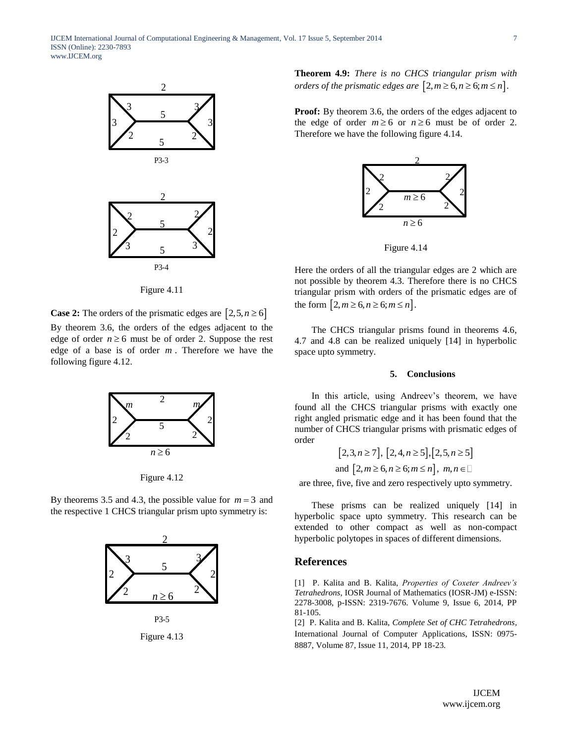

Figure 4.11

**Case 2:** The orders of the prismatic edges are  $[2, 5, n \ge 6]$ By theorem 3.6, the orders of the edges adjacent to the edge of order  $n \ge 6$  must be of order 2. Suppose the rest edge of a base is of order *m* . Therefore we have the following figure 4.12.



Figure 4.12

By theorems 3.5 and 4.3, the possible value for  $m = 3$  and the respective 1 CHCS triangular prism upto symmetry is:



Figure 4.13

**Theorem 4.9:** *There is no CHCS triangular prism with orders of the prismatic edges are*  $\left[2, m \geq 6, n \geq 6; m \leq n\right]$ .

**Proof:** By theorem 3.6, the orders of the edges adjacent to the edge of order  $m \ge 6$  or  $n \ge 6$  must be of order 2. Therefore we have the following figure 4.14.





Here the orders of all the triangular edges are 2 which are not possible by theorem 4.3. Therefore there is no CHCS triangular prism with orders of the prismatic edges are of the form  $[2, m \ge 6, n \ge 6; m \le n]$ .

The CHCS triangular prisms found in theorems 4.6, 4.7 and 4.8 can be realized uniquely [14] in hyperbolic space upto symmetry.

#### **5. Conclusions**

In this article, using Andreev's theorem, we have found all the CHCS triangular prisms with exactly one right angled prismatic edge and it has been found that the number of CHCS triangular prisms with prismatic edges of order

$$
[2,3, n \ge 7], [2,4, n \ge 5], [2,5, n \ge 5]
$$
  
and 
$$
[2, m \ge 6, n \ge 6; m \le n], m, n \in \square
$$

are three, five, five and zero respectively upto symmetry.

These prisms can be realized uniquely [14] in hyperbolic space upto symmetry. This research can be extended to other compact as well as non-compact hyperbolic polytopes in spaces of different dimensions.

#### **References**

[1] P. Kalita and B. Kalita, *Properties of Coxeter Andreev's Tetrahedrons,* IOSR Journal of Mathematics (IOSR-JM) e-ISSN: 2278-3008, p-ISSN: 2319-7676. Volume 9, Issue 6, 2014, PP 81-105*.*

[2] P. Kalita and B. Kalita, *Complete Set of CHC Tetrahedrons,*  International Journal of Computer Applications, ISSN: 0975- 8887, Volume 87, Issue 11, 2014, PP 18-23*.*